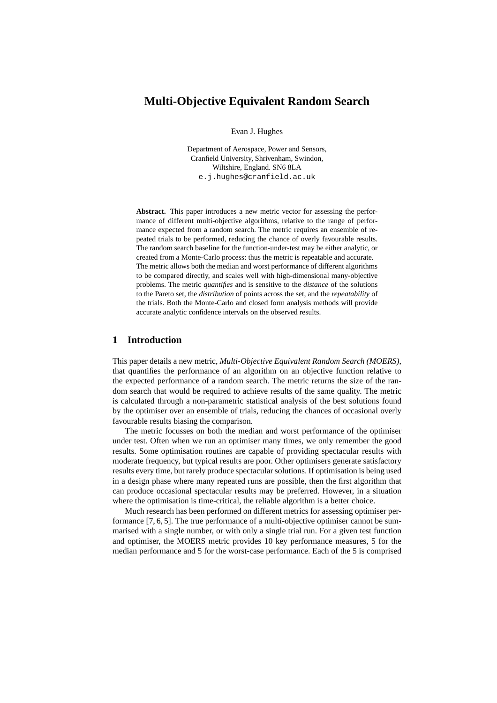# **Multi-Objective Equivalent Random Search**

Evan J. Hughes

Department of Aerospace, Power and Sensors, Cranfield University, Shrivenham, Swindon, Wiltshire, England. SN6 8LA e.j.hughes@cranfield.ac.uk

**Abstract.** This paper introduces a new metric vector for assessing the performance of different multi-objective algorithms, relative to the range of performance expected from a random search. The metric requires an ensemble of repeated trials to be performed, reducing the chance of overly favourable results. The random search baseline for the function-under-test may be either analytic, or created from a Monte-Carlo process: thus the metric is repeatable and accurate. The metric allows both the median and worst performance of different algorithms to be compared directly, and scales well with high-dimensional many-objective problems. The metric *quantifies* and is sensitive to the *distance* of the solutions to the Pareto set, the *distribution* of points across the set, and the *repeatability* of the trials. Both the Monte-Carlo and closed form analysis methods will provide accurate analytic confidence intervals on the observed results.

#### **1 Introduction**

This paper details a new metric, *Multi-Objective Equivalent Random Search (MOERS)*, that quantifies the performance of an algorithm on an objective function relative to the expected performance of a random search. The metric returns the size of the random search that would be required to achieve results of the same quality. The metric is calculated through a non-parametric statistical analysis of the best solutions found by the optimiser over an ensemble of trials, reducing the chances of occasional overly favourable results biasing the comparison.

The metric focusses on both the median and worst performance of the optimiser under test. Often when we run an optimiser many times, we only remember the good results. Some optimisation routines are capable of providing spectacular results with moderate frequency, but typical results are poor. Other optimisers generate satisfactory results every time, but rarely produce spectacular solutions. If optimisation is being used in a design phase where many repeated runs are possible, then the first algorithm that can produce occasional spectacular results may be preferred. However, in a situation where the optimisation is time-critical, the reliable algorithm is a better choice.

Much research has been performed on different metrics for assessing optimiser performance [7, 6, 5]. The true performance of a multi-objective optimiser cannot be summarised with a single number, or with only a single trial run. For a given test function and optimiser, the MOERS metric provides 10 key performance measures, 5 for the median performance and 5 for the worst-case performance. Each of the 5 is comprised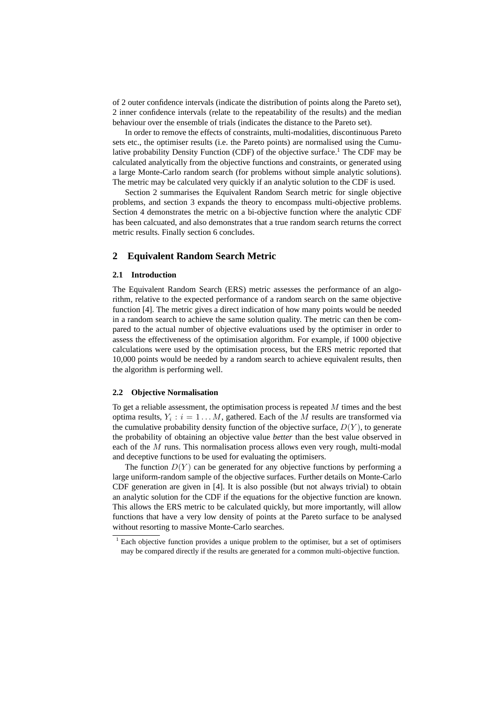of 2 outer confidence intervals (indicate the distribution of points along the Pareto set), 2 inner confidence intervals (relate to the repeatability of the results) and the median behaviour over the ensemble of trials (indicates the distance to the Pareto set).

In order to remove the effects of constraints, multi-modalities, discontinuous Pareto sets etc., the optimiser results (i.e. the Pareto points) are normalised using the Cumulative probability Density Function (CDF) of the objective surface.<sup>1</sup> The CDF may be calculated analytically from the objective functions and constraints, or generated using a large Monte-Carlo random search (for problems without simple analytic solutions). The metric may be calculated very quickly if an analytic solution to the CDF is used.

Section 2 summarises the Equivalent Random Search metric for single objective problems, and section 3 expands the theory to encompass multi-objective problems. Section 4 demonstrates the metric on a bi-objective function where the analytic CDF has been calcuated, and also demonstrates that a true random search returns the correct metric results. Finally section 6 concludes.

### **2 Equivalent Random Search Metric**

#### **2.1 Introduction**

The Equivalent Random Search (ERS) metric assesses the performance of an algorithm, relative to the expected performance of a random search on the same objective function [4]. The metric gives a direct indication of how many points would be needed in a random search to achieve the same solution quality. The metric can then be compared to the actual number of objective evaluations used by the optimiser in order to assess the effectiveness of the optimisation algorithm. For example, if 1000 objective calculations were used by the optimisation process, but the ERS metric reported that 10,000 points would be needed by a random search to achieve equivalent results, then the algorithm is performing well.

#### **2.2 Objective Normalisation**

To get a reliable assessment, the optimisation process is repeated  $M$  times and the best optima results,  $Y_i : i = 1...M$ , gathered. Each of the M results are transformed via the cumulative probability density function of the objective surface,  $D(Y)$ , to generate the probability of obtaining an objective value *better* than the best value observed in each of the M runs. This normalisation process allows even very rough, multi-modal and deceptive functions to be used for evaluating the optimisers.

The function  $D(Y)$  can be generated for any objective functions by performing a large uniform-random sample of the objective surfaces. Further details on Monte-Carlo CDF generation are given in [4]. It is also possible (but not always trivial) to obtain an analytic solution for the CDF if the equations for the objective function are known. This allows the ERS metric to be calculated quickly, but more importantly, will allow functions that have a very low density of points at the Pareto surface to be analysed without resorting to massive Monte-Carlo searches.

 $1$  Each objective function provides a unique problem to the optimiser, but a set of optimisers may be compared directly if the results are generated for a common multi-objective function.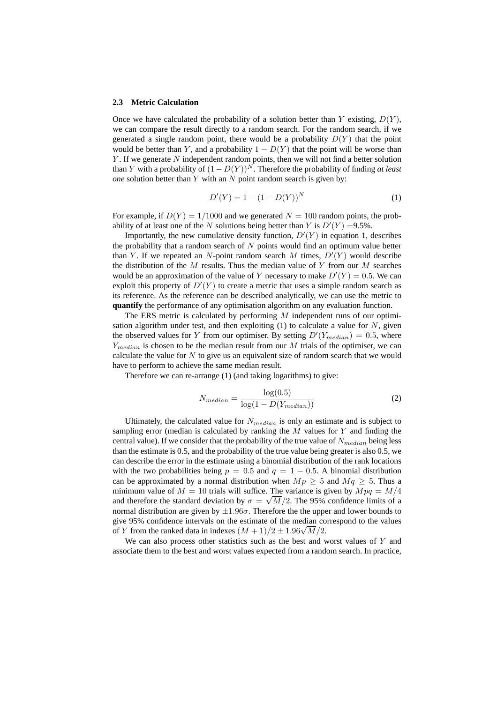#### **2.3 Metric Calculation**

Once we have calculated the probability of a solution better than Y existing,  $D(Y)$ , we can compare the result directly to a random search. For the random search, if we generated a single random point, there would be a probability  $D(Y)$  that the point would be better than Y, and a probability  $1 - D(Y)$  that the point will be worse than  $Y$ . If we generate  $N$  independent random points, then we will not find a better solution than Y with a probability of  $(1 - D(Y))^N$ . Therefore the probability of finding *at least one* solution better than  $Y$  with an  $N$  point random search is given by:

$$
D'(Y) = 1 - (1 - D(Y))^N
$$
 (1)

For example, if  $D(Y) = 1/1000$  and we generated  $N = 100$  random points, the probability of at least one of the N solutions being better than Y is  $D'(Y) = 9.5\%$ .

Importantly, the new cumulative density function,  $D'(Y)$  in equation 1, describes the probability that a random search of  $N$  points would find an optimum value better than Y. If we repeated an N-point random search M times,  $D'(Y)$  would describe the distribution of the  $M$  results. Thus the median value of  $Y$  from our  $M$  searches would be an approximation of the value of Y necessary to make  $D'(Y) = 0.5$ . We can exploit this property of  $D'(Y)$  to create a metric that uses a simple random search as its reference. As the reference can be described analytically, we can use the metric to **quantify** the performance of any optimisation algorithm on any evaluation function.

The ERS metric is calculated by performing  $M$  independent runs of our optimisation algorithm under test, and then exploiting  $(1)$  to calculate a value for N, given the observed values for Y from our optimiser. By setting  $D'(Y_{median}) = 0.5$ , where  $Y_{median}$  is chosen to be the median result from our M trials of the optimiser, we can calculate the value for  $N$  to give us an equivalent size of random search that we would have to perform to achieve the same median result.

Therefore we can re-arrange (1) (and taking logarithms) to give:

$$
N_{median} = \frac{\log(0.5)}{\log(1 - D(Y_{median}))}
$$
\n(2)

Ultimately, the calculated value for  $N_{median}$  is only an estimate and is subject to sampling error (median is calculated by ranking the  $M$  values for  $Y$  and finding the central value). If we consider that the probability of the true value of  $N_{median}$  being less than the estimate is 0.5, and the probability of the true value being greater is also 0.5, we can describe the error in the estimate using a binomial distribution of the rank locations with the two probabilities being  $p = 0.5$  and  $q = 1 - 0.5$ . A binomial distribution can be approximated by a normal distribution when  $Mp \geq 5$  and  $Mq \geq 5$ . Thus a minimum value of  $M = 10$  trials will suffice. The variance is given by  $Mpq = M/4$ and therefore the standard deviation by  $\sigma = \sqrt{M/2}$ . The 95% confidence limits of a normal distribution are given by  $\pm 1.96\sigma$ . Therefore the the upper and lower bounds to give 95% confidence intervals on the estimate of the median correspond to the values give 95% confidence intervals on the estimate of the median coor Y from the ranked data in indexes  $(M + 1)/2 \pm 1.96\sqrt{M}/2$ .

We can also process other statistics such as the best and worst values of  $Y$  and associate them to the best and worst values expected from a random search. In practice,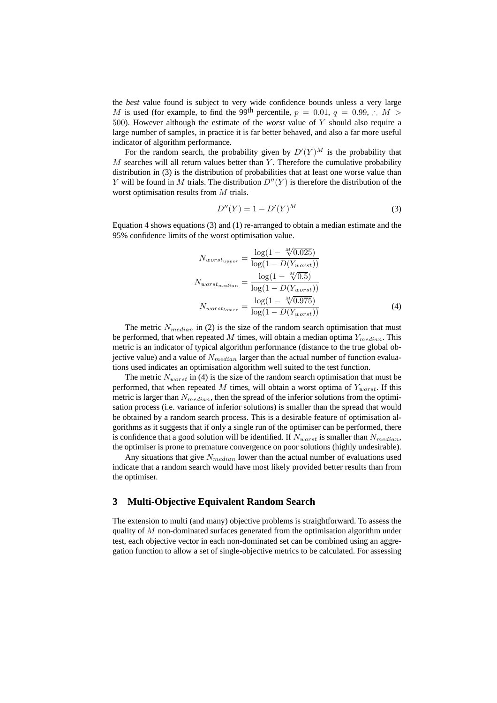the *best* value found is subject to very wide confidence bounds unless a very large M is used (for example, to find the 99<sup>th</sup> percentile,  $p = 0.01, q = 0.99, \therefore$  M > 500). However although the estimate of the *worst* value of Y should also require a large number of samples, in practice it is far better behaved, and also a far more useful indicator of algorithm performance.

For the random search, the probability given by  $D'(Y)^M$  is the probability that  $M$  searches will all return values better than  $Y$ . Therefore the cumulative probability distribution in (3) is the distribution of probabilities that at least one worse value than Y will be found in M trials. The distribution  $D''(Y)$  is therefore the distribution of the worst optimisation results from M trials.

$$
D''(Y) = 1 - D'(Y)^M
$$
 (3)

Equation 4 shows equations (3) and (1) re-arranged to obtain a median estimate and the 95% confidence limits of the worst optimisation value.

$$
N_{worst_{upper}} = \frac{\log(1 - \sqrt[M]{0.025})}{\log(1 - D(Y_{worst}))}
$$

$$
N_{worst_{median}} = \frac{\log(1 - \sqrt[M]{0.5})}{\log(1 - D(Y_{worst}))}
$$

$$
N_{worst_{lower}} = \frac{\log(1 - \sqrt[M]{0.975})}{\log(1 - D(Y_{worst}))}
$$
(4)

The metric  $N_{median}$  in (2) is the size of the random search optimisation that must be performed, that when repeated M times, will obtain a median optima  $Y_{median}$ . This metric is an indicator of typical algorithm performance (distance to the true global objective value) and a value of  $N_{median}$  larger than the actual number of function evaluations used indicates an optimisation algorithm well suited to the test function.

The metric  $N_{worst}$  in (4) is the size of the random search optimisation that must be performed, that when repeated M times, will obtain a worst optima of  $Y_{worst}$ . If this metric is larger than  $N_{median}$ , then the spread of the inferior solutions from the optimisation process (i.e. variance of inferior solutions) is smaller than the spread that would be obtained by a random search process. This is a desirable feature of optimisation algorithms as it suggests that if only a single run of the optimiser can be performed, there is confidence that a good solution will be identified. If  $N_{worst}$  is smaller than  $N_{median}$ , the optimiser is prone to premature convergence on poor solutions (highly undesirable).

Any situations that give  $N_{median}$  lower than the actual number of evaluations used indicate that a random search would have most likely provided better results than from the optimiser.

# **3 Multi-Objective Equivalent Random Search**

The extension to multi (and many) objective problems is straightforward. To assess the quality of  $M$  non-dominated surfaces generated from the optimisation algorithm under test, each objective vector in each non-dominated set can be combined using an aggregation function to allow a set of single-objective metrics to be calculated. For assessing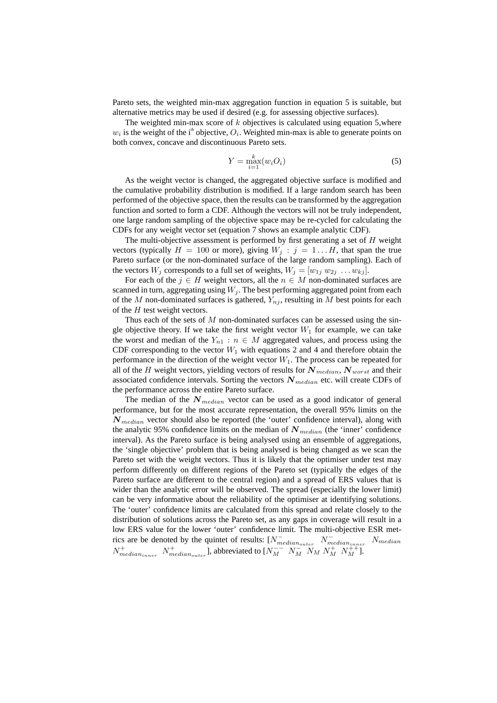Pareto sets, the weighted min-max aggregation function in equation 5 is suitable, but alternative metrics may be used if desired (e.g. for assessing objective surfaces).

The weighted min-max score of  $k$  objectives is calculated using equation 5, where  $w_i$  is the weight of the i<sup>th</sup> objective,  $O_i$ . Weighted min-max is able to generate points on both convex, concave and discontinuous Pareto sets.

$$
Y = \max_{i=1}^k (w_i O_i) \tag{5}
$$

As the weight vector is changed, the aggregated objective surface is modified and the cumulative probability distribution is modified. If a large random search has been performed of the objective space, then the results can be transformed by the aggregation function and sorted to form a CDF. Although the vectors will not be truly independent, one large random sampling of the objective space may be re-cycled for calculating the CDFs for any weight vector set (equation 7 shows an example analytic CDF).

The multi-objective assessment is performed by first generating a set of  $H$  weight vectors (typically  $H = 100$  or more), giving  $W_j : j = 1...H$ , that span the true Pareto surface (or the non-dominated surface of the large random sampling). Each of the vectors  $W_j$  corresponds to a full set of weights,  $W_j = [w_{1j} \ w_{2j} \dots w_{kj}]$ .

For each of the  $j \in H$  weight vectors, all the  $n \in M$  non-dominated surfaces are scanned in turn, aggregating using  $W_j$ . The best performing aggregated point from each of the M non-dominated surfaces is gathered,  $Y_{nj}$ , resulting in M best points for each of the  $H$  test weight vectors.

Thus each of the sets of  $M$  non-dominated surfaces can be assessed using the single objective theory. If we take the first weight vector  $W_1$  for example, we can take the worst and median of the  $Y_{n1} : n \in M$  aggregated values, and process using the CDF corresponding to the vector  $W_1$  with equations 2 and 4 and therefore obtain the performance in the direction of the weight vector  $W_1$ . The process can be repeated for all of the H weight vectors, yielding vectors of results for  $N_{median}$ ,  $N_{worst}$  and their associated confidence intervals. Sorting the vectors  $N_{median}$  etc. will create CDFs of the performance across the entire Pareto surface.

The median of the  $N_{median}$  vector can be used as a good indicator of general performance, but for the most accurate representation, the overall 95% limits on the  $N_{median}$  vector should also be reported (the 'outer' confidence interval), along with the analytic 95% confidence limits on the median of  $N_{median}$  (the 'inner' confidence interval). As the Pareto surface is being analysed using an ensemble of aggregations, the 'single objective' problem that is being analysed is being changed as we scan the Pareto set with the weight vectors. Thus it is likely that the optimiser under test may perform differently on different regions of the Pareto set (typically the edges of the Pareto surface are different to the central region) and a spread of ERS values that is wider than the analytic error will be observed. The spread (especially the lower limit) can be very informative about the reliability of the optimiser at identifying solutions. The 'outer' confidence limits are calculated from this spread and relate closely to the distribution of solutions across the Pareto set, as any gaps in coverage will result in a low ERS value for the lower 'outer' confidence limit. The multi-objective ESR metrics are be denoted by the quintet of results:  $[N_{median_{outer}}^{-} \ N_{median_{inner}}^{-} \ N_{median_{inner}}^{-}$  $N_{median_{inner}}^+$   $N_{median_{outer}}^+$ ], abbreviated to  $[N_M^ N_M^ N_M$   $N_M^+$   $N_M^{\ddag +}$ ].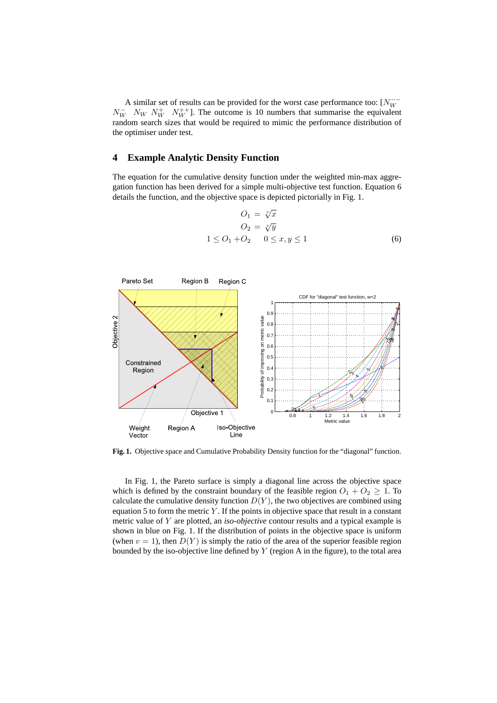A similar set of results can be provided for the worst case performance too:  $[N_W^{--}]$  $N_W^ N_W$   $N_W^+$   $N_W^{++}$ ]. The outcome is 10 numbers that summarise the equivalent random search sizes that would be required to mimic the performance distribution of the optimiser under test.

# **4 Example Analytic Density Function**

The equation for the cumulative density function under the weighted min-max aggregation function has been derived for a simple multi-objective test function. Equation 6 details the function, and the objective space is depicted pictorially in Fig. 1.

$$
O_1 = \sqrt[n]{x}
$$
  
\n
$$
O_2 = \sqrt[n]{y}
$$
  
\n
$$
1 \le O_1 + O_2 \qquad 0 \le x, y \le 1
$$
  
\n(6)



Fig. 1. Objective space and Cumulative Probability Density function for the "diagonal" function.

In Fig. 1, the Pareto surface is simply a diagonal line across the objective space which is defined by the constraint boundary of the feasible region  $O_1 + O_2 \geq 1$ . To calculate the cumulative density function  $D(Y)$ , the two objectives are combined using equation 5 to form the metric  $Y$ . If the points in objective space that result in a constant metric value of Y are plotted, an *iso-objective* contour results and a typical example is shown in blue on Fig. 1. If the distribution of points in the objective space is uniform (when  $v = 1$ ), then  $D(Y)$  is simply the ratio of the area of the superior feasible region bounded by the iso-objective line defined by  $Y$  (region A in the figure), to the total area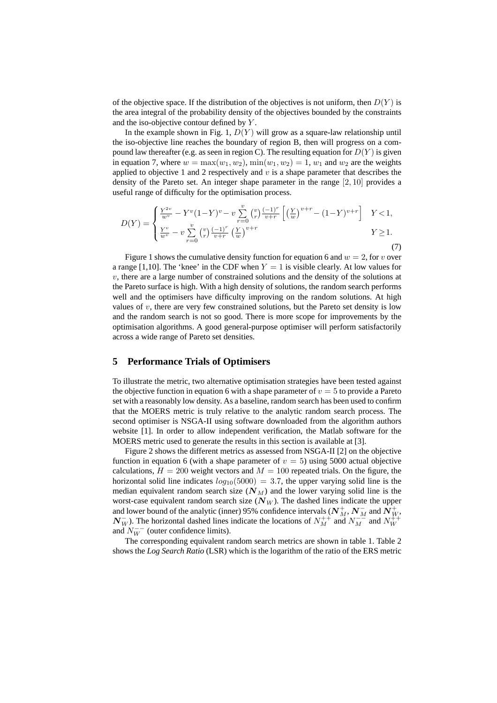of the objective space. If the distribution of the objectives is not uniform, then  $D(Y)$  is the area integral of the probability density of the objectives bounded by the constraints and the iso-objective contour defined by Y .

In the example shown in Fig. 1,  $D(Y)$  will grow as a square-law relationship until the iso-objective line reaches the boundary of region B, then will progress on a compound law thereafter (e.g. as seen in region C). The resulting equation for  $D(Y)$  is given in equation 7, where  $w = \max(w_1, w_2)$ ,  $\min(w_1, w_2) = 1$ ,  $w_1$  and  $w_2$  are the weights applied to objective 1 and 2 respectively and  $v$  is a shape parameter that describes the density of the Pareto set. An integer shape parameter in the range [2, 10] provides a useful range of difficulty for the optimisation process.

$$
D(Y) = \begin{cases} \frac{Y^{2v}}{w^v} - Y^v (1 - Y)^v - v \sum_{r=0}^v {v \choose r} \frac{(-1)^r}{v+r} \left[ \left(\frac{Y}{w}\right)^{v+r} - (1 - Y)^{v+r} \right] & Y < 1, \\ \frac{Y^v}{w^v} - v \sum_{r=0}^v {v \choose r} \frac{(-1)^r}{v+r} \left(\frac{Y}{w}\right)^{v+r} & Y \ge 1. \\ \end{cases}
$$
\n(7)

Figure 1 shows the cumulative density function for equation 6 and  $w = 2$ , for v over a range [1,10]. The 'knee' in the CDF when  $Y = 1$  is visible clearly. At low values for  $v$ , there are a large number of constrained solutions and the density of the solutions at the Pareto surface is high. With a high density of solutions, the random search performs well and the optimisers have difficulty improving on the random solutions. At high values of  $v$ , there are very few constrained solutions, but the Pareto set density is low and the random search is not so good. There is more scope for improvements by the optimisation algorithms. A good general-purpose optimiser will perform satisfactorily across a wide range of Pareto set densities.

### **5 Performance Trials of Optimisers**

To illustrate the metric, two alternative optimisation strategies have been tested against the objective function in equation 6 with a shape parameter of  $v = 5$  to provide a Pareto set with a reasonably low density. As a baseline, random search has been used to confirm that the MOERS metric is truly relative to the analytic random search process. The second optimiser is NSGA-II using software downloaded from the algorithm authors website [1]. In order to allow independent verification, the Matlab software for the MOERS metric used to generate the results in this section is available at [3].

Figure 2 shows the different metrics as assessed from NSGA-II [2] on the objective function in equation 6 (with a shape parameter of  $v = 5$ ) using 5000 actual objective calculations,  $H = 200$  weight vectors and  $M = 100$  repeated trials. On the figure, the horizontal solid line indicates  $log_{10}(5000) = 3.7$ , the upper varying solid line is the median equivalent random search size  $(N_M)$  and the lower varying solid line is the worst-case equivalent random search size  $(N_W)$ . The dashed lines indicate the upper and lower bound of the analytic (inner) 95% confidence intervals  $(\bm{N}_M^+, \bm{N}_M^-$  and  $\bm{N}_{W}^+,$  $N_W^-$ ). The horizontal dashed lines indicate the locations of  $N_M^{++}$  and  $N_M^{--}$  and  $N_W^{++}$ and  $N_W^{--}$  (outer confidence limits).

The corresponding equivalent random search metrics are shown in table 1. Table 2 shows the *Log Search Ratio* (LSR) which is the logarithm of the ratio of the ERS metric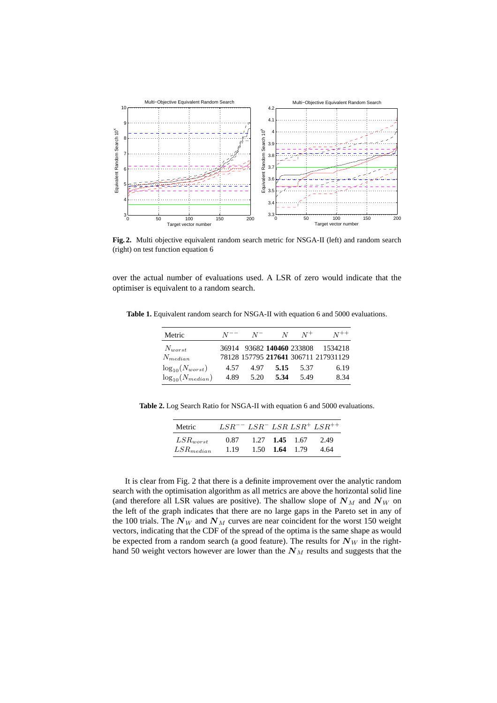

**Fig. 2.** Multi objective equivalent random search metric for NSGA-II (left) and random search (right) on test function equation 6

over the actual number of evaluations used. A LSR of zero would indicate that the optimiser is equivalent to a random search.

| Metric                 | $N^{--}$ | $N^-$  | $\mathcal{N}$ | $N^+$ | $N^{++}$                             |
|------------------------|----------|--------|---------------|-------|--------------------------------------|
| $N_{worst}$            |          |        |               |       | 36914 93682 140460 233808 1534218    |
| $N_{median}$           |          |        |               |       | 78128 157795 217641 306711 217931129 |
| $\log_{10}(N_{worst})$ | 4.57     | 4.97   | 5.15          | 5.37  | 6.19                                 |
| $log_{10}(N_{median})$ | 4.89     | - 5.20 | 5.34          | 5.49  | 8.34                                 |

**Table 1.** Equivalent random search for NSGA-II with equation 6 and 5000 evaluations.

**Table 2.** Log Search Ratio for NSGA-II with equation 6 and 5000 evaluations.

| Metric         |      |  |                  | $LSR^{--}$ $LSR^{-}$ $LSR$ $LSR^{+}$ $LSR^{++}$ |
|----------------|------|--|------------------|-------------------------------------------------|
| $LSR_{worst}$  | 0.87 |  | $1.27$ 1.45 1.67 | 2.49                                            |
| $LSR_{median}$ | 1.19 |  | $1.50$ 1.64 1.79 | 4.64                                            |

It is clear from Fig. 2 that there is a definite improvement over the analytic random search with the optimisation algorithm as all metrics are above the horizontal solid line (and therefore all LSR values are positive). The shallow slope of  $N_M$  and  $N_W$  on the left of the graph indicates that there are no large gaps in the Pareto set in any of the 100 trials. The  $N_W$  and  $N_M$  curves are near coincident for the worst 150 weight vectors, indicating that the CDF of the spread of the optima is the same shape as would be expected from a random search (a good feature). The results for  $N_W$  in the righthand 50 weight vectors however are lower than the  $N_M$  results and suggests that the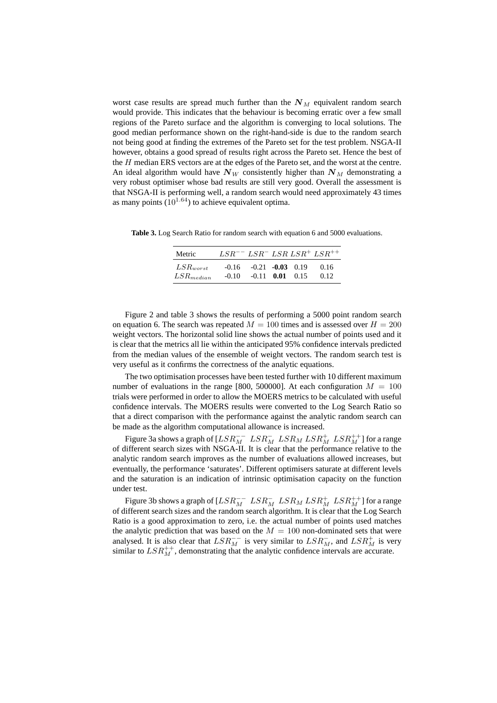worst case results are spread much further than the  $N_M$  equivalent random search would provide. This indicates that the behaviour is becoming erratic over a few small regions of the Pareto surface and the algorithm is converging to local solutions. The good median performance shown on the right-hand-side is due to the random search not being good at finding the extremes of the Pareto set for the test problem. NSGA-II however, obtains a good spread of results right across the Pareto set. Hence the best of the H median ERS vectors are at the edges of the Pareto set, and the worst at the centre. An ideal algorithm would have  $N_W$  consistently higher than  $N_M$  demonstrating a very robust optimiser whose bad results are still very good. Overall the assessment is that NSGA-II is performing well, a random search would need approximately 43 times as many points  $(10^{1.64})$  to achieve equivalent optima.

**Table 3.** Log Search Ratio for random search with equation 6 and 5000 evaluations.

| Metric                          |         |                                                     |  | $LSR^{--}$ $LSR^{-}$ $LSR$ $LSR^{+}$ $LSR^{++}$ |
|---------------------------------|---------|-----------------------------------------------------|--|-------------------------------------------------|
| $LSR_{worst}$<br>$LSR_{median}$ | $-0.10$ | $-0.16$ $-0.21$ $-0.03$ $0.19$<br>$-0.11$ 0.01 0.15 |  | 0.16<br>0.12                                    |

Figure 2 and table 3 shows the results of performing a 5000 point random search on equation 6. The search was repeated  $M = 100$  times and is assessed over  $H = 200$ weight vectors. The horizontal solid line shows the actual number of points used and it is clear that the metrics all lie within the anticipated 95% confidence intervals predicted from the median values of the ensemble of weight vectors. The random search test is very useful as it confirms the correctness of the analytic equations.

The two optimisation processes have been tested further with 10 different maximum number of evaluations in the range [800, 500000]. At each configuration  $M = 100$ trials were performed in order to allow the MOERS metrics to be calculated with useful confidence intervals. The MOERS results were converted to the Log Search Ratio so that a direct comparison with the performance against the analytic random search can be made as the algorithm computational allowance is increased.

Figure 3a shows a graph of  $[LSR_M^{--}\ LSR_M^-\ LSR_M\ LSR_M^+\ LSR_M^{++}]$  for a range of different search sizes with NSGA-II. It is clear that the performance relative to the analytic random search improves as the number of evaluations allowed increases, but eventually, the performance 'saturates'. Different optimisers saturate at different levels and the saturation is an indication of intrinsic optimisation capacity on the function under test.

Figure 3b shows a graph of  $[LSR_M^{--} \ \ LSR_M^- \ \ LSR_M \ \ LSR_M^+ \ \ LSR_M^{++}]$  for a range of different search sizes and the random search algorithm. It is clear that the Log Search Ratio is a good approximation to zero, i.e. the actual number of points used matches the analytic prediction that was based on the  $M = 100$  non-dominated sets that were analysed. It is also clear that  $LSR_M^{--}$  is very similar to  $LSR_M^-$ , and  $LSR_M^+$  is very similar to  $LSR_M^{++}$ , demonstrating that the analytic confidence intervals are accurate.